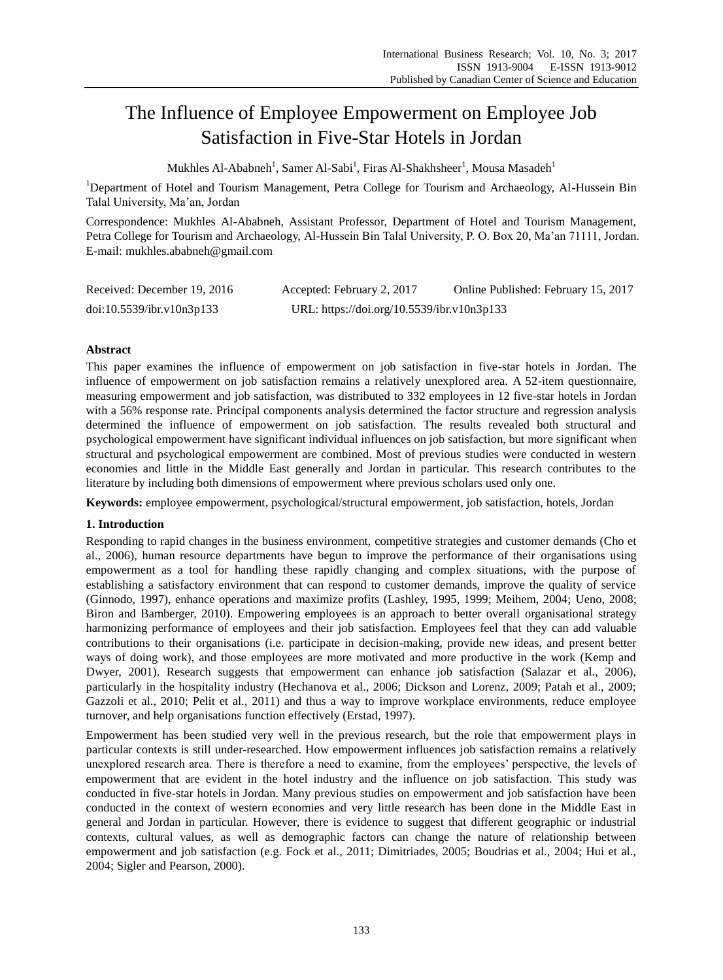# The Influence of Employee Empowerment on Employee Job Satisfaction in Five-Star Hotels in Jordan

 $\mathbf M$ ukhles Al-Ababneh $^1$ , Samer Al-Sabi $^1$ , Firas Al-Shakhsheer $^1$ , Mousa Masadeh $^1$ 

<sup>1</sup>Department of Hotel and Tourism Management, Petra College for Tourism and Archaeology, Al-Hussein Bin Talal University, Ma"an, Jordan

Correspondence: Mukhles Al-Ababneh, Assistant Professor, Department of Hotel and Tourism Management, Petra College for Tourism and Archaeology, Al-Hussein Bin Talal University, P. O. Box 20, Ma"an 71111, Jordan. E-mail: mukhles.ababneh@gmail.com

| Received: December 19, 2016 | Accepted: February 2, 2017                 | Online Published: February 15, 2017 |
|-----------------------------|--------------------------------------------|-------------------------------------|
| doi:10.5539/ibr.v10n3p133   | URL: https://doi.org/10.5539/ibr.v10n3p133 |                                     |

# **Abstract**

This paper examines the influence of empowerment on job satisfaction in five-star hotels in Jordan. The influence of empowerment on job satisfaction remains a relatively unexplored area. A 52-item questionnaire, measuring empowerment and job satisfaction, was distributed to 332 employees in 12 five-star hotels in Jordan with a 56% response rate. Principal components analysis determined the factor structure and regression analysis determined the influence of empowerment on job satisfaction. The results revealed both structural and psychological empowerment have significant individual influences on job satisfaction, but more significant when structural and psychological empowerment are combined. Most of previous studies were conducted in western economies and little in the Middle East generally and Jordan in particular. This research contributes to the literature by including both dimensions of empowerment where previous scholars used only one.

**Keywords:** employee empowerment, psychological/structural empowerment, job satisfaction, hotels, Jordan

## **1. Introduction**

Responding to rapid changes in the business environment, competitive strategies and customer demands (Cho et al., 2006), human resource departments have begun to improve the performance of their organisations using empowerment as a tool for handling these rapidly changing and complex situations, with the purpose of establishing a satisfactory environment that can respond to customer demands, improve the quality of service (Ginnodo, 1997), enhance operations and maximize profits (Lashley, 1995, 1999; Meihem, 2004; Ueno, 2008; Biron and Bamberger, 2010). Empowering employees is an approach to better overall organisational strategy harmonizing performance of employees and their job satisfaction. Employees feel that they can add valuable contributions to their organisations (i.e. participate in decision-making, provide new ideas, and present better ways of doing work), and those employees are more motivated and more productive in the work (Kemp and Dwyer, 2001). Research suggests that empowerment can enhance job satisfaction (Salazar et al., 2006), particularly in the hospitality industry (Hechanova et al., 2006; Dickson and Lorenz, 2009; Patah et al., 2009; Gazzoli et al., 2010; Pelit et al., 2011) and thus a way to improve workplace environments, reduce employee turnover, and help organisations function effectively (Erstad, 1997).

Empowerment has been studied very well in the previous research, but the role that empowerment plays in particular contexts is still under-researched. How empowerment influences job satisfaction remains a relatively unexplored research area. There is therefore a need to examine, from the employees" perspective, the levels of empowerment that are evident in the hotel industry and the influence on job satisfaction. This study was conducted in five-star hotels in Jordan. Many previous studies on empowerment and job satisfaction have been conducted in the context of western economies and very little research has been done in the Middle East in general and Jordan in particular. However, there is evidence to suggest that different geographic or industrial contexts, cultural values, as well as demographic factors can change the nature of relationship between empowerment and job satisfaction (e.g. Fock et al., 2011; Dimitriades, 2005; Boudrias et al., 2004; Hui et al., 2004; Sigler and Pearson, 2000).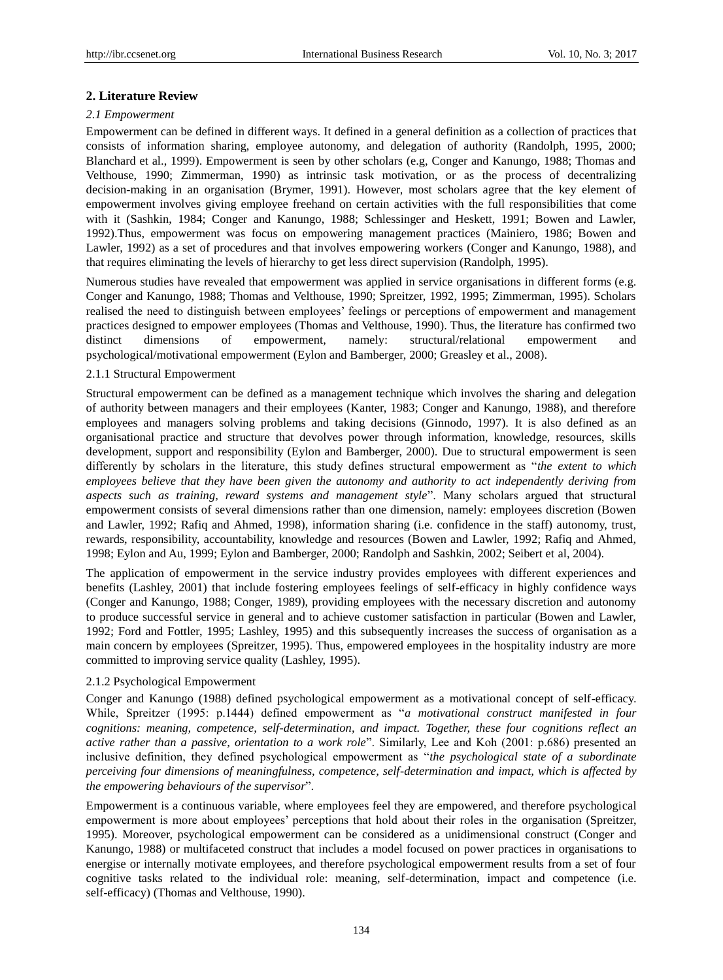# **2. Literature Review**

### *2.1 Empowerment*

Empowerment can be defined in different ways. It defined in a general definition as a collection of practices that consists of information sharing, employee autonomy, and delegation of authority (Randolph, 1995, 2000; Blanchard et al., 1999). Empowerment is seen by other scholars (e.g, Conger and Kanungo, 1988; Thomas and Velthouse, 1990; Zimmerman, 1990) as intrinsic task motivation, or as the process of decentralizing decision-making in an organisation (Brymer, 1991). However, most scholars agree that the key element of empowerment involves giving employee freehand on certain activities with the full responsibilities that come with it (Sashkin, 1984; Conger and Kanungo, 1988; Schlessinger and Heskett, 1991; Bowen and Lawler, 1992).Thus, empowerment was focus on empowering management practices (Mainiero, 1986; Bowen and Lawler, 1992) as a set of procedures and that involves empowering workers (Conger and Kanungo, 1988), and that requires eliminating the levels of hierarchy to get less direct supervision (Randolph, 1995).

Numerous studies have revealed that empowerment was applied in service organisations in different forms (e.g. Conger and Kanungo, 1988; Thomas and Velthouse, 1990; Spreitzer, 1992, 1995; Zimmerman, 1995). Scholars realised the need to distinguish between employees" feelings or perceptions of empowerment and management practices designed to empower employees (Thomas and Velthouse, 1990). Thus, the literature has confirmed two distinct dimensions of empowerment, namely: structural/relational empowerment and psychological/motivational empowerment (Eylon and Bamberger, 2000; Greasley et al., 2008).

### 2.1.1 Structural Empowerment

Structural empowerment can be defined as a management technique which involves the sharing and delegation of authority between managers and their employees (Kanter, 1983; Conger and Kanungo, 1988), and therefore employees and managers solving problems and taking decisions (Ginnodo, 1997). It is also defined as an organisational practice and structure that devolves power through information, knowledge, resources, skills development, support and responsibility (Eylon and Bamberger, 2000). Due to structural empowerment is seen differently by scholars in the literature, this study defines structural empowerment as "*the extent to which employees believe that they have been given the autonomy and authority to act independently deriving from aspects such as training, reward systems and management style*". Many scholars argued that structural empowerment consists of several dimensions rather than one dimension, namely: employees discretion (Bowen and Lawler, 1992; Rafiq and Ahmed, 1998), information sharing (i.e. confidence in the staff) autonomy, trust, rewards, responsibility, accountability, knowledge and resources (Bowen and Lawler, 1992; Rafiq and Ahmed, 1998; Eylon and Au, 1999; Eylon and Bamberger, 2000; Randolph and Sashkin, 2002; Seibert et al, 2004).

The application of empowerment in the service industry provides employees with different experiences and benefits (Lashley, 2001) that include fostering employees feelings of self-efficacy in highly confidence ways (Conger and Kanungo, 1988; Conger, 1989), providing employees with the necessary discretion and autonomy to produce successful service in general and to achieve customer satisfaction in particular (Bowen and Lawler, 1992; Ford and Fottler, 1995; Lashley, 1995) and this subsequently increases the success of organisation as a main concern by employees (Spreitzer, 1995). Thus, empowered employees in the hospitality industry are more committed to improving service quality (Lashley, 1995).

## 2.1.2 Psychological Empowerment

Conger and Kanungo (1988) defined psychological empowerment as a motivational concept of self-efficacy. While, Spreitzer (1995: p.1444) defined empowerment as "*a motivational construct manifested in four cognitions: meaning, competence, self-determination, and impact. Together, these four cognitions reflect an active rather than a passive, orientation to a work role*". Similarly, Lee and Koh (2001: p.686) presented an inclusive definition, they defined psychological empowerment as "*the psychological state of a subordinate perceiving four dimensions of meaningfulness, competence, self-determination and impact, which is affected by the empowering behaviours of the supervisor*".

Empowerment is a continuous variable, where employees feel they are empowered, and therefore psychological empowerment is more about employees" perceptions that hold about their roles in the organisation (Spreitzer, 1995). Moreover, psychological empowerment can be considered as a unidimensional construct (Conger and Kanungo, 1988) or multifaceted construct that includes a model focused on power practices in organisations to energise or internally motivate employees, and therefore psychological empowerment results from a set of four cognitive tasks related to the individual role: meaning, self-determination, impact and competence (i.e. self-efficacy) (Thomas and Velthouse, 1990).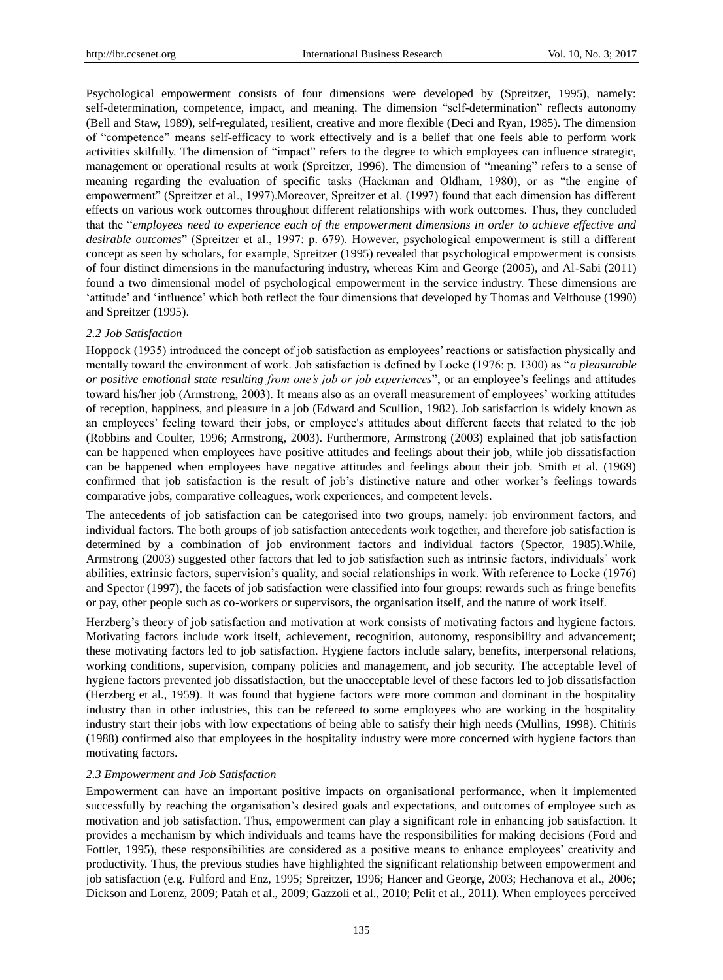Psychological empowerment consists of four dimensions were developed by (Spreitzer, 1995), namely: self-determination, competence, impact, and meaning. The dimension "self-determination" reflects autonomy (Bell and Staw, 1989), self-regulated, resilient, creative and more flexible (Deci and Ryan, 1985). The dimension of "competence" means self-efficacy to work effectively and is a belief that one feels able to perform work activities skilfully. The dimension of "impact" refers to the degree to which employees can influence strategic, management or operational results at work (Spreitzer, 1996). The dimension of "meaning" refers to a sense of meaning regarding the evaluation of specific tasks (Hackman and Oldham, 1980), or as "the engine of empowerment" (Spreitzer et al., 1997).Moreover, Spreitzer et al. (1997) found that each dimension has different effects on various work outcomes throughout different relationships with work outcomes. Thus, they concluded that the "*employees need to experience each of the empowerment dimensions in order to achieve effective and desirable outcomes*" (Spreitzer et al., 1997: p. 679). However, psychological empowerment is still a different concept as seen by scholars, for example, Spreitzer (1995) revealed that psychological empowerment is consists of four distinct dimensions in the manufacturing industry, whereas Kim and George (2005), and Al-Sabi (2011) found a two dimensional model of psychological empowerment in the service industry. These dimensions are "attitude" and "influence" which both reflect the four dimensions that developed by Thomas and Velthouse (1990) and Spreitzer (1995).

### *2.2 Job Satisfaction*

Hoppock (1935) introduced the concept of job satisfaction as employees" reactions or satisfaction physically and mentally toward the environment of work. Job satisfaction is defined by Locke (1976: p. 1300) as "*a pleasurable or positive emotional state resulting from one's job or job experiences*", or an employee's feelings and attitudes toward his/her job (Armstrong, 2003). It means also as an overall measurement of employees" working attitudes of reception, happiness, and pleasure in a job (Edward and Scullion, 1982). Job satisfaction is widely known as an employees" feeling toward their jobs, or employee's attitudes about different facets that related to the job (Robbins and Coulter, 1996; Armstrong, 2003). Furthermore, Armstrong (2003) explained that job satisfaction can be happened when employees have positive attitudes and feelings about their job, while job dissatisfaction can be happened when employees have negative attitudes and feelings about their job. Smith et al. (1969) confirmed that job satisfaction is the result of job's distinctive nature and other worker's feelings towards comparative jobs, comparative colleagues, work experiences, and competent levels.

The antecedents of job satisfaction can be categorised into two groups, namely: job environment factors, and individual factors. The both groups of job satisfaction antecedents work together, and therefore job satisfaction is determined by a combination of job environment factors and individual factors (Spector, 1985).While, Armstrong (2003) suggested other factors that led to job satisfaction such as intrinsic factors, individuals" work abilities, extrinsic factors, supervision"s quality, and social relationships in work. With reference to Locke (1976) and Spector (1997), the facets of job satisfaction were classified into four groups: rewards such as fringe benefits or pay, other people such as co-workers or supervisors, the organisation itself, and the nature of work itself.

Herzberg"s theory of job satisfaction and motivation at work consists of motivating factors and hygiene factors. Motivating factors include work itself, achievement, recognition, autonomy, responsibility and advancement; these motivating factors led to job satisfaction. Hygiene factors include salary, benefits, interpersonal relations, working conditions, supervision, company policies and management, and job security. The acceptable level of hygiene factors prevented job dissatisfaction, but the unacceptable level of these factors led to job dissatisfaction (Herzberg et al., 1959). It was found that hygiene factors were more common and dominant in the hospitality industry than in other industries, this can be refereed to some employees who are working in the hospitality industry start their jobs with low expectations of being able to satisfy their high needs (Mullins, 1998). Chitiris (1988) confirmed also that employees in the hospitality industry were more concerned with hygiene factors than motivating factors.

#### *2.3 Empowerment and Job Satisfaction*

Empowerment can have an important positive impacts on organisational performance, when it implemented successfully by reaching the organisation"s desired goals and expectations, and outcomes of employee such as motivation and job satisfaction. Thus, empowerment can play a significant role in enhancing job satisfaction. It provides a mechanism by which individuals and teams have the responsibilities for making decisions (Ford and Fottler, 1995), these responsibilities are considered as a positive means to enhance employees' creativity and productivity. Thus, the previous studies have highlighted the significant relationship between empowerment and job satisfaction (e.g. Fulford and Enz, 1995; Spreitzer, 1996; Hancer and George, 2003; Hechanova et al., 2006; Dickson and Lorenz, 2009; Patah et al., 2009; Gazzoli et al., 2010; Pelit et al., 2011). When employees perceived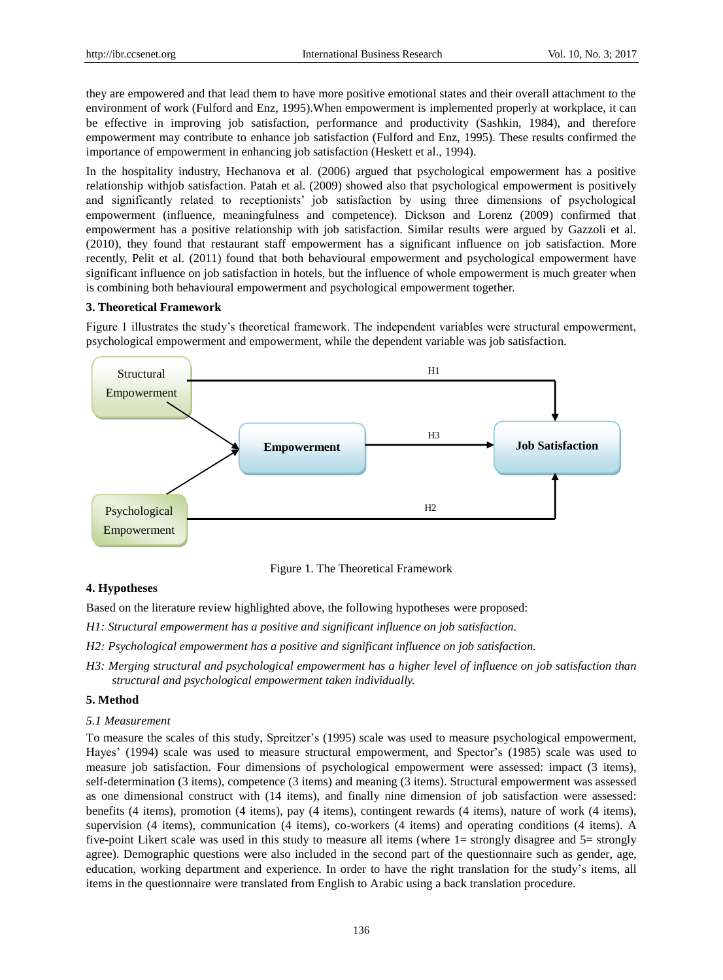they are empowered and that lead them to have more positive emotional states and their overall attachment to the environment of work (Fulford and Enz, 1995).When empowerment is implemented properly at workplace, it can be effective in improving job satisfaction, performance and productivity (Sashkin, 1984), and therefore empowerment may contribute to enhance job satisfaction (Fulford and Enz, 1995). These results confirmed the importance of empowerment in enhancing job satisfaction (Heskett et al., 1994).

In the hospitality industry, Hechanova et al. (2006) argued that psychological empowerment has a positive relationship withjob satisfaction. Patah et al. (2009) showed also that psychological empowerment is positively and significantly related to receptionists' job satisfaction by using three dimensions of psychological empowerment (influence, meaningfulness and competence). Dickson and Lorenz (2009) confirmed that empowerment has a positive relationship with job satisfaction. Similar results were argued by Gazzoli et al. (2010), they found that restaurant staff empowerment has a significant influence on job satisfaction. More recently, Pelit et al. (2011) found that both behavioural empowerment and psychological empowerment have significant influence on job satisfaction in hotels, but the influence of whole empowerment is much greater when is combining both behavioural empowerment and psychological empowerment together.

#### **3. Theoretical Framework**

Figure 1 illustrates the study"s theoretical framework. The independent variables were structural empowerment, psychological empowerment and empowerment, while the dependent variable was job satisfaction.



Figure 1. The Theoretical Framework

# **4. Hypotheses**

Based on the literature review highlighted above, the following hypotheses were proposed:

- *H1: Structural empowerment has a positive and significant influence on job satisfaction.*
- *H2: Psychological empowerment has a positive and significant influence on job satisfaction.*
- *H3: Merging structural and psychological empowerment has a higher level of influence on job satisfaction than structural and psychological empowerment taken individually.*

# **5. Method**

#### *5.1 Measurement*

To measure the scales of this study, Spreitzer"s (1995) scale was used to measure psychological empowerment, Hayes' (1994) scale was used to measure structural empowerment, and Spector's (1985) scale was used to measure job satisfaction. Four dimensions of psychological empowerment were assessed: impact (3 items), self-determination (3 items), competence (3 items) and meaning (3 items). Structural empowerment was assessed as one dimensional construct with (14 items), and finally nine dimension of job satisfaction were assessed: benefits (4 items), promotion (4 items), pay (4 items), contingent rewards (4 items), nature of work (4 items), supervision (4 items), communication (4 items), co-workers (4 items) and operating conditions (4 items). A five-point Likert scale was used in this study to measure all items (where 1= strongly disagree and 5= strongly agree). Demographic questions were also included in the second part of the questionnaire such as gender, age, education, working department and experience. In order to have the right translation for the study"s items, all items in the questionnaire were translated from English to Arabic using a back translation procedure.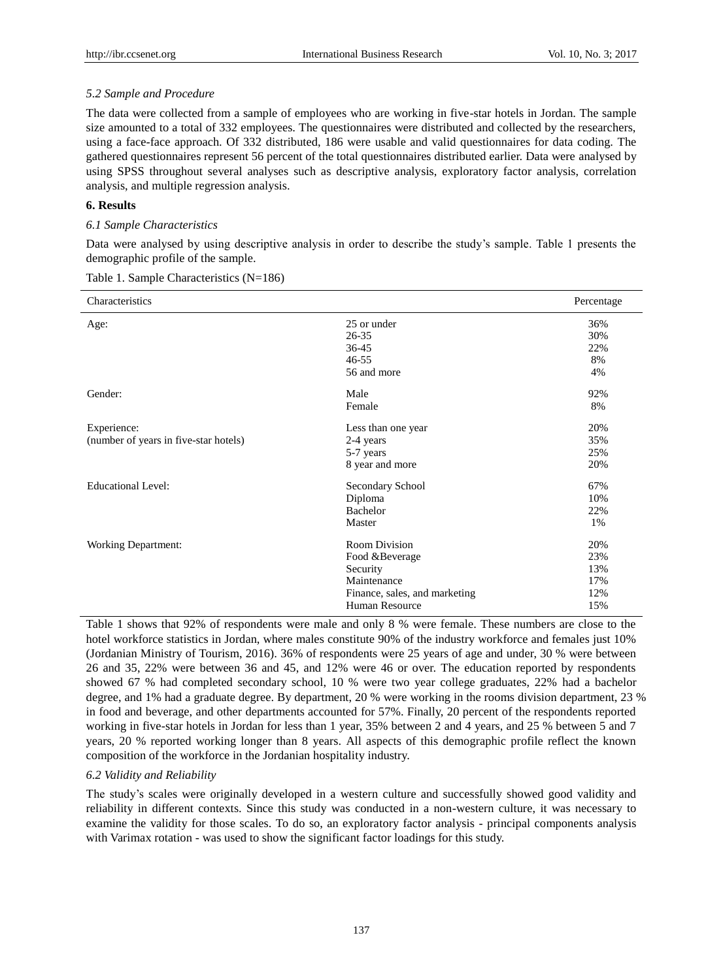# *5.2 Sample and Procedure*

The data were collected from a sample of employees who are working in five-star hotels in Jordan. The sample size amounted to a total of 332 employees. The questionnaires were distributed and collected by the researchers, using a face-face approach. Of 332 distributed, 186 were usable and valid questionnaires for data coding. The gathered questionnaires represent 56 percent of the total questionnaires distributed earlier. Data were analysed by using SPSS throughout several analyses such as descriptive analysis, exploratory factor analysis, correlation analysis, and multiple regression analysis.

# **6. Results**

# *6.1 Sample Characteristics*

Data were analysed by using descriptive analysis in order to describe the study"s sample. Table 1 presents the demographic profile of the sample.

| Characteristics                                      |                                                                                                                      | Percentage                             |
|------------------------------------------------------|----------------------------------------------------------------------------------------------------------------------|----------------------------------------|
| Age:                                                 | 25 or under<br>26-35<br>36-45<br>$46 - 55$<br>56 and more                                                            | 36%<br>30%<br>22%<br>8%<br>4%          |
| Gender:                                              | Male<br>Female                                                                                                       | 92%<br>8%                              |
| Experience:<br>(number of years in five-star hotels) | Less than one year<br>2-4 years<br>5-7 years<br>8 year and more                                                      | 20%<br>35%<br>25%<br>20%               |
| <b>Educational Level:</b>                            | Secondary School<br>Diploma<br>Bachelor<br>Master                                                                    | 67%<br>10%<br>22%<br>1%                |
| <b>Working Department:</b>                           | <b>Room Division</b><br>Food &Beverage<br>Security<br>Maintenance<br>Finance, sales, and marketing<br>Human Resource | 20%<br>23%<br>13%<br>17%<br>12%<br>15% |

Table 1. Sample Characteristics (N=186)

Table 1 shows that 92% of respondents were male and only 8 % were female. These numbers are close to the hotel workforce statistics in Jordan, where males constitute 90% of the industry workforce and females just 10% (Jordanian Ministry of Tourism, 2016). 36% of respondents were 25 years of age and under, 30 % were between 26 and 35, 22% were between 36 and 45, and 12% were 46 or over. The education reported by respondents showed 67 % had completed secondary school, 10 % were two year college graduates, 22% had a bachelor degree, and 1% had a graduate degree. By department, 20 % were working in the rooms division department, 23 % in food and beverage, and other departments accounted for 57%. Finally, 20 percent of the respondents reported working in five-star hotels in Jordan for less than 1 year, 35% between 2 and 4 years, and 25 % between 5 and 7 years, 20 % reported working longer than 8 years. All aspects of this demographic profile reflect the known composition of the workforce in the Jordanian hospitality industry.

# *6.2 Validity and Reliability*

The study"s scales were originally developed in a western culture and successfully showed good validity and reliability in different contexts. Since this study was conducted in a non-western culture, it was necessary to examine the validity for those scales. To do so, an exploratory factor analysis - principal components analysis with Varimax rotation - was used to show the significant factor loadings for this study.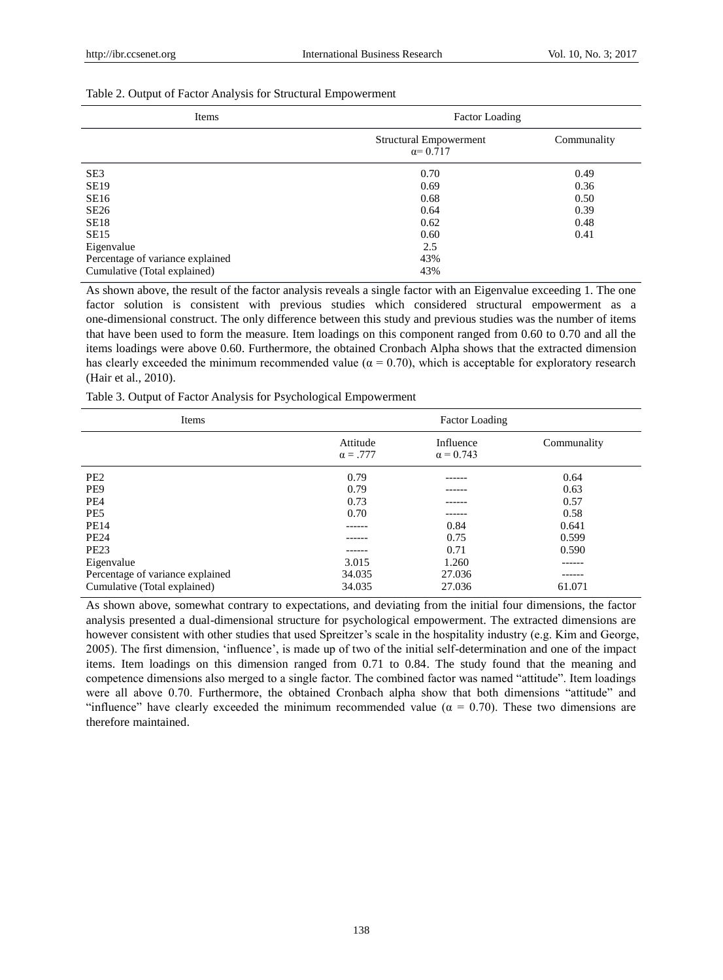| Items                            | Factor Loading                                    |             |
|----------------------------------|---------------------------------------------------|-------------|
|                                  | <b>Structural Empowerment</b><br>$\alpha = 0.717$ | Communality |
| SE <sub>3</sub>                  | 0.70                                              | 0.49        |
| <b>SE19</b>                      | 0.69                                              | 0.36        |
| SE <sub>16</sub>                 | 0.68                                              | 0.50        |
| SE26                             | 0.64                                              | 0.39        |
| SE <sub>18</sub>                 | 0.62                                              | 0.48        |
| SE15                             | 0.60                                              | 0.41        |
| Eigenvalue                       | 2.5                                               |             |
| Percentage of variance explained | 43%                                               |             |
| Cumulative (Total explained)     | 43%                                               |             |

#### Table 2. Output of Factor Analysis for Structural Empowerment

As shown above, the result of the factor analysis reveals a single factor with an Eigenvalue exceeding 1. The one factor solution is consistent with previous studies which considered structural empowerment as a one-dimensional construct. The only difference between this study and previous studies was the number of items that have been used to form the measure. Item loadings on this component ranged from 0.60 to 0.70 and all the items loadings were above 0.60. Furthermore, the obtained Cronbach Alpha shows that the extracted dimension has clearly exceeded the minimum recommended value ( $\alpha = 0.70$ ), which is acceptable for exploratory research (Hair et al., 2010).

|  |  |  | Table 3. Output of Factor Analysis for Psychological Empowerment |
|--|--|--|------------------------------------------------------------------|
|  |  |  |                                                                  |

| Items                            |                             | Factor Loading                |             |  |  |  |
|----------------------------------|-----------------------------|-------------------------------|-------------|--|--|--|
|                                  | Attitude<br>$\alpha = .777$ | Influence<br>$\alpha = 0.743$ | Communality |  |  |  |
| PE <sub>2</sub>                  | 0.79                        |                               | 0.64        |  |  |  |
| PE9                              | 0.79                        |                               | 0.63        |  |  |  |
| PE4                              | 0.73                        |                               | 0.57        |  |  |  |
| PE <sub>5</sub>                  | 0.70                        | ------                        | 0.58        |  |  |  |
| <b>PE14</b>                      |                             | 0.84                          | 0.641       |  |  |  |
| <b>PE24</b>                      | ------                      | 0.75                          | 0.599       |  |  |  |
| <b>PE23</b>                      | ------                      | 0.71                          | 0.590       |  |  |  |
| Eigenvalue                       | 3.015                       | 1.260                         |             |  |  |  |
| Percentage of variance explained | 34.035                      | 27.036                        |             |  |  |  |
| Cumulative (Total explained)     | 34.035                      | 27.036                        | 61.071      |  |  |  |

As shown above, somewhat contrary to expectations, and deviating from the initial four dimensions, the factor analysis presented a dual-dimensional structure for psychological empowerment. The extracted dimensions are however consistent with other studies that used Spreitzer"s scale in the hospitality industry (e.g. Kim and George, 2005). The first dimension, "influence", is made up of two of the initial self-determination and one of the impact items. Item loadings on this dimension ranged from 0.71 to 0.84. The study found that the meaning and competence dimensions also merged to a single factor. The combined factor was named "attitude". Item loadings were all above 0.70. Furthermore, the obtained Cronbach alpha show that both dimensions "attitude" and "influence" have clearly exceeded the minimum recommended value ( $\alpha = 0.70$ ). These two dimensions are therefore maintained.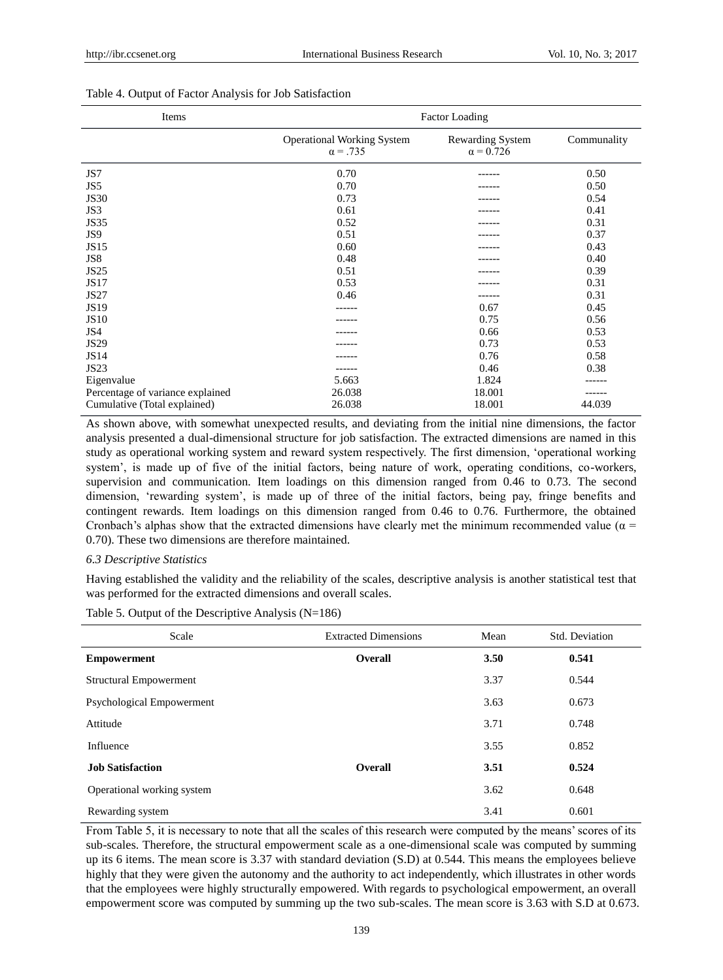| Items                            | <b>Factor Loading</b>                         |                                      |             |  |  |
|----------------------------------|-----------------------------------------------|--------------------------------------|-------------|--|--|
|                                  | Operational Working System<br>$\alpha$ = .735 | Rewarding System<br>$\alpha$ = 0.726 | Communality |  |  |
| JS7                              | 0.70                                          |                                      | 0.50        |  |  |
| JS5                              | 0.70                                          |                                      | 0.50        |  |  |
| <b>JS30</b>                      | 0.73                                          |                                      | 0.54        |  |  |
| JS3                              | 0.61                                          |                                      | 0.41        |  |  |
| <b>JS35</b>                      | 0.52                                          |                                      | 0.31        |  |  |
| JS9                              | 0.51                                          |                                      | 0.37        |  |  |
| JS15                             | 0.60                                          |                                      | 0.43        |  |  |
| JS8                              | 0.48                                          |                                      | 0.40        |  |  |
| <b>JS25</b>                      | 0.51                                          |                                      | 0.39        |  |  |
| <b>JS17</b>                      | 0.53                                          |                                      | 0.31        |  |  |
| <b>JS27</b>                      | 0.46                                          |                                      | 0.31        |  |  |
| <b>JS19</b>                      |                                               | 0.67                                 | 0.45        |  |  |
| <b>JS10</b>                      |                                               | 0.75                                 | 0.56        |  |  |
| JS4                              |                                               | 0.66                                 | 0.53        |  |  |
| <b>JS29</b>                      |                                               | 0.73                                 | 0.53        |  |  |
| <b>JS14</b>                      |                                               | 0.76                                 | 0.58        |  |  |
| <b>JS23</b>                      |                                               | 0.46                                 | 0.38        |  |  |
| Eigenvalue                       | 5.663                                         | 1.824                                |             |  |  |
| Percentage of variance explained | 26.038                                        | 18.001                               |             |  |  |
| Cumulative (Total explained)     | 26.038                                        | 18.001                               | 44.039      |  |  |

#### Table 4. Output of Factor Analysis for Job Satisfaction

As shown above, with somewhat unexpected results, and deviating from the initial nine dimensions, the factor analysis presented a dual-dimensional structure for job satisfaction. The extracted dimensions are named in this study as operational working system and reward system respectively. The first dimension, "operational working system", is made up of five of the initial factors, being nature of work, operating conditions, co-workers, supervision and communication. Item loadings on this dimension ranged from 0.46 to 0.73. The second dimension, 'rewarding system', is made up of three of the initial factors, being pay, fringe benefits and contingent rewards. Item loadings on this dimension ranged from 0.46 to 0.76. Furthermore, the obtained Cronbach's alphas show that the extracted dimensions have clearly met the minimum recommended value ( $\alpha$  = 0.70). These two dimensions are therefore maintained.

## *6.3 Descriptive Statistics*

Having established the validity and the reliability of the scales, descriptive analysis is another statistical test that was performed for the extracted dimensions and overall scales.

Table 5. Output of the Descriptive Analysis (N=186)

| Scale                         | <b>Extracted Dimensions</b> | Mean | Std. Deviation |
|-------------------------------|-----------------------------|------|----------------|
| <b>Empowerment</b>            | <b>Overall</b>              | 3.50 | 0.541          |
| <b>Structural Empowerment</b> |                             | 3.37 | 0.544          |
| Psychological Empowerment     |                             | 3.63 | 0.673          |
| Attitude                      |                             | 3.71 | 0.748          |
| Influence                     |                             | 3.55 | 0.852          |
| <b>Job Satisfaction</b>       | <b>Overall</b>              | 3.51 | 0.524          |
| Operational working system    |                             | 3.62 | 0.648          |
| Rewarding system              |                             | 3.41 | 0.601          |

From Table 5, it is necessary to note that all the scales of this research were computed by the means' scores of its sub-scales. Therefore, the structural empowerment scale as a one-dimensional scale was computed by summing up its 6 items. The mean score is 3.37 with standard deviation (S.D) at 0.544. This means the employees believe highly that they were given the autonomy and the authority to act independently, which illustrates in other words that the employees were highly structurally empowered. With regards to psychological empowerment, an overall empowerment score was computed by summing up the two sub-scales. The mean score is 3.63 with S.D at 0.673.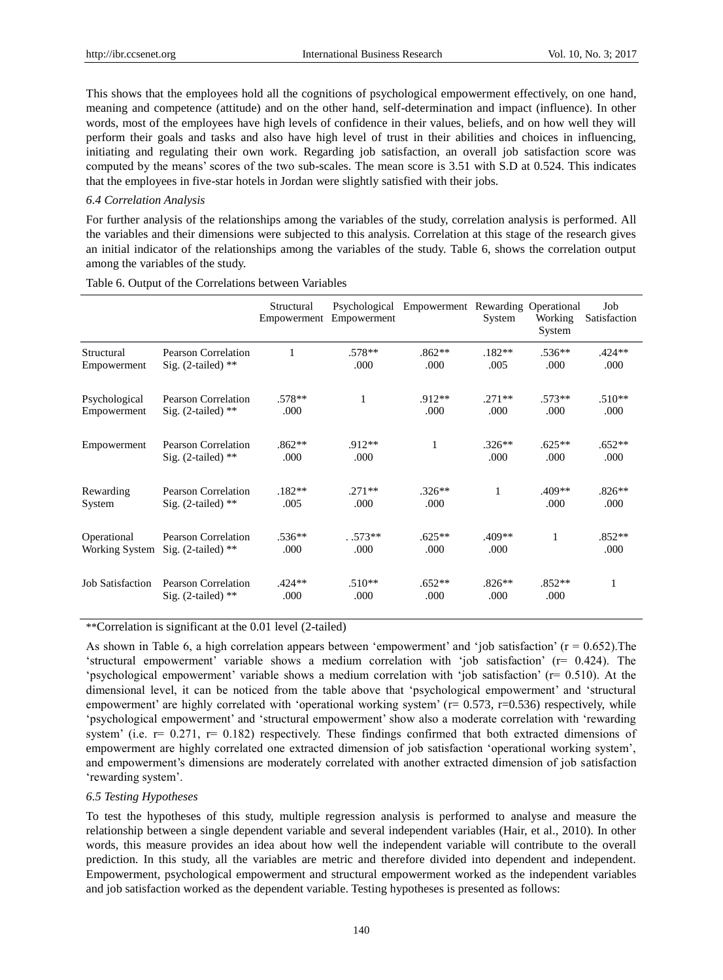This shows that the employees hold all the cognitions of psychological empowerment effectively, on one hand, meaning and competence (attitude) and on the other hand, self-determination and impact (influence). In other words, most of the employees have high levels of confidence in their values, beliefs, and on how well they will perform their goals and tasks and also have high level of trust in their abilities and choices in influencing, initiating and regulating their own work. Regarding job satisfaction, an overall job satisfaction score was computed by the means" scores of the two sub-scales. The mean score is 3.51 with S.D at 0.524. This indicates that the employees in five-star hotels in Jordan were slightly satisfied with their jobs.

#### *6.4 Correlation Analysis*

For further analysis of the relationships among the variables of the study, correlation analysis is performed. All the variables and their dimensions were subjected to this analysis. Correlation at this stage of the research gives an initial indicator of the relationships among the variables of the study. Table 6, shows the correlation output among the variables of the study.

|                         |                                              | Structural       | Empowerment Empowerment | Psychological Empowerment Rewarding Operational | System           | Working<br>System | Job<br>Satisfaction |
|-------------------------|----------------------------------------------|------------------|-------------------------|-------------------------------------------------|------------------|-------------------|---------------------|
| Structural              | <b>Pearson Correlation</b>                   | 1                | .578**                  | $.862**$                                        | $.182**$         | $.536**$          | $.424**$            |
| Empowerment             | Sig. $(2$ -tailed) **                        |                  | .000                    | .000                                            | .005             | .000              | .000                |
| Psychological           | Pearson Correlation                          | $.578**$         | 1                       | .912**                                          | $.271**$         | $.573**$          | $.510**$            |
| Empowerment             | Sig. $(2$ -tailed) **                        | .000             |                         | .000                                            | .000             | .000              | .000                |
| Empowerment             | Pearson Correlation<br>Sig. $(2$ -tailed) ** | $.862**$<br>.000 | .912**<br>.000          |                                                 | $.326**$<br>.000 | $.625**$<br>.000  | $.652**$<br>.000    |
| Rewarding               | Pearson Correlation                          | $.182**$         | $.271**$                | $.326**$                                        | 1                | $.409**$          | $.826**$            |
| System                  | Sig. $(2$ -tailed) **                        | .005             | .000                    | .000                                            |                  | .000              | .000                |
| Operational             | <b>Pearson Correlation</b>                   | $.536**$         | $0.573**$               | $.625**$                                        | $.409**$         | 1                 | $.852**$            |
| Working System          | Sig. $(2$ -tailed) **                        | .000             | .000                    | .000                                            | .000             |                   | .000                |
| <b>Job Satisfaction</b> | Pearson Correlation<br>Sig. $(2$ -tailed) ** | $.424**$<br>.000 | $.510**$<br>.000        | $.652**$<br>.000                                | $.826**$<br>.000 | $.852**$<br>.000  | 1                   |

Table 6. Output of the Correlations between Variables

\*\*Correlation is significant at the 0.01 level (2-tailed)

As shown in Table 6, a high correlation appears between 'empowerment' and 'job satisfaction'  $(r = 0.652)$ . The 'structural empowerment' variable shows a medium correlation with 'job satisfaction' (r= 0.424). The "psychological empowerment" variable shows a medium correlation with "job satisfaction" ( $r= 0.510$ ). At the dimensional level, it can be noticed from the table above that 'psychological empowerment' and 'structural empowerment' are highly correlated with 'operational working system'  $(r= 0.573, r=0.536)$  respectively, while "psychological empowerment" and "structural empowerment" show also a moderate correlation with "rewarding system' (i.e.  $r = 0.271$ ,  $r = 0.182$ ) respectively. These findings confirmed that both extracted dimensions of empowerment are highly correlated one extracted dimension of job satisfaction "operational working system", and empowerment's dimensions are moderately correlated with another extracted dimension of job satisfaction 'rewarding system'.

### *6.5 Testing Hypotheses*

To test the hypotheses of this study, multiple regression analysis is performed to analyse and measure the relationship between a single dependent variable and several independent variables (Hair, et al., 2010). In other words, this measure provides an idea about how well the independent variable will contribute to the overall prediction. In this study, all the variables are metric and therefore divided into dependent and independent. Empowerment, psychological empowerment and structural empowerment worked as the independent variables and job satisfaction worked as the dependent variable. Testing hypotheses is presented as follows: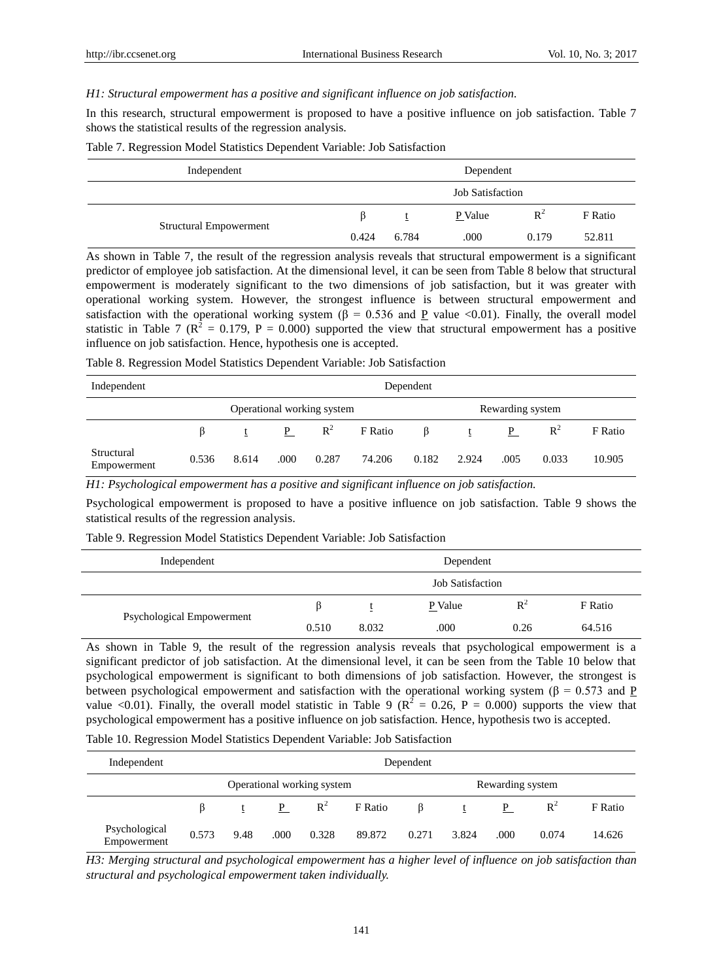#### *H1: Structural empowerment has a positive and significant influence on job satisfaction.*

In this research, structural empowerment is proposed to have a positive influence on job satisfaction. Table 7 shows the statistical results of the regression analysis.

| Table 7. Regression Model Statistics Dependent Variable: Job Satisfaction |  |  |  |
|---------------------------------------------------------------------------|--|--|--|
|                                                                           |  |  |  |

| Independent                   | Dependent               |       |         |       |         |  |
|-------------------------------|-------------------------|-------|---------|-------|---------|--|
|                               | <b>Job Satisfaction</b> |       |         |       |         |  |
|                               | Þ                       |       | P Value | $R^2$ | F Ratio |  |
| <b>Structural Empowerment</b> | 0.424                   | 6.784 | .000    | 0.179 | 52.811  |  |

As shown in Table 7, the result of the regression analysis reveals that structural empowerment is a significant predictor of employee job satisfaction. At the dimensional level, it can be seen from Table 8 below that structural empowerment is moderately significant to the two dimensions of job satisfaction, but it was greater with operational working system. However, the strongest influence is between structural empowerment and satisfaction with the operational working system ( $\beta = 0.536$  and P value <0.01). Finally, the overall model statistic in Table 7 ( $\mathbb{R}^2 = 0.179$ , P = 0.000) supported the view that structural empowerment has a positive influence on job satisfaction. Hence, hypothesis one is accepted.

|  |  |  | Table 8. Regression Model Statistics Dependent Variable: Job Satisfaction |
|--|--|--|---------------------------------------------------------------------------|
|  |  |  |                                                                           |

| Independent               | Dependent                  |       |      |       |         |       |       |                  |                |         |
|---------------------------|----------------------------|-------|------|-------|---------|-------|-------|------------------|----------------|---------|
|                           | Operational working system |       |      |       |         |       |       | Rewarding system |                |         |
|                           |                            |       | P    | $R^2$ | F Ratio | ß     |       | P                | $\mathbb{R}^2$ | F Ratio |
| Structural<br>Empowerment | 0.536                      | 8.614 | .000 | 0.287 | 74.206  | 0.182 | 2.924 | .005             | 0.033          | 10.905  |

*H1: Psychological empowerment has a positive and significant influence on job satisfaction.*

Psychological empowerment is proposed to have a positive influence on job satisfaction. Table 9 shows the statistical results of the regression analysis.

|  |  |  |  |  |  |  |  | Table 9. Regression Model Statistics Dependent Variable: Job Satisfaction |
|--|--|--|--|--|--|--|--|---------------------------------------------------------------------------|
|--|--|--|--|--|--|--|--|---------------------------------------------------------------------------|

| Independent               |       | Dependent |                         |       |         |
|---------------------------|-------|-----------|-------------------------|-------|---------|
|                           |       |           | <b>Job Satisfaction</b> |       |         |
|                           | B     |           | P Value                 | $R^2$ | F Ratio |
| Psychological Empowerment | 0.510 | 8.032     | .000                    | 0.26  | 64.516  |

As shown in Table 9, the result of the regression analysis reveals that psychological empowerment is a significant predictor of job satisfaction. At the dimensional level, it can be seen from the Table 10 below that psychological empowerment is significant to both dimensions of job satisfaction. However, the strongest is between psychological empowerment and satisfaction with the operational working system ( $\beta$  = 0.573 and P value <0.01). Finally, the overall model statistic in Table 9 ( $\mathbb{R}^2 = 0.26$ ,  $P = 0.000$ ) supports the view that psychological empowerment has a positive influence on job satisfaction. Hence, hypothesis two is accepted.

Table 10. Regression Model Statistics Dependent Variable: Job Satisfaction

| Independent                  | Dependent |      |                            |                  |         |       |       |      |       |         |
|------------------------------|-----------|------|----------------------------|------------------|---------|-------|-------|------|-------|---------|
|                              |           |      | Operational working system | Rewarding system |         |       |       |      |       |         |
|                              |           |      |                            | $R^2$            | F Ratio | ß     |       | P    | $R^2$ | F Ratio |
| Psychological<br>Empowerment | 0.573     | 9.48 | .000                       | 0.328            | 89.872  | 0.271 | 3.824 | .000 | 0.074 | 14.626  |

*H3: Merging structural and psychological empowerment has a higher level of influence on job satisfaction than structural and psychological empowerment taken individually.*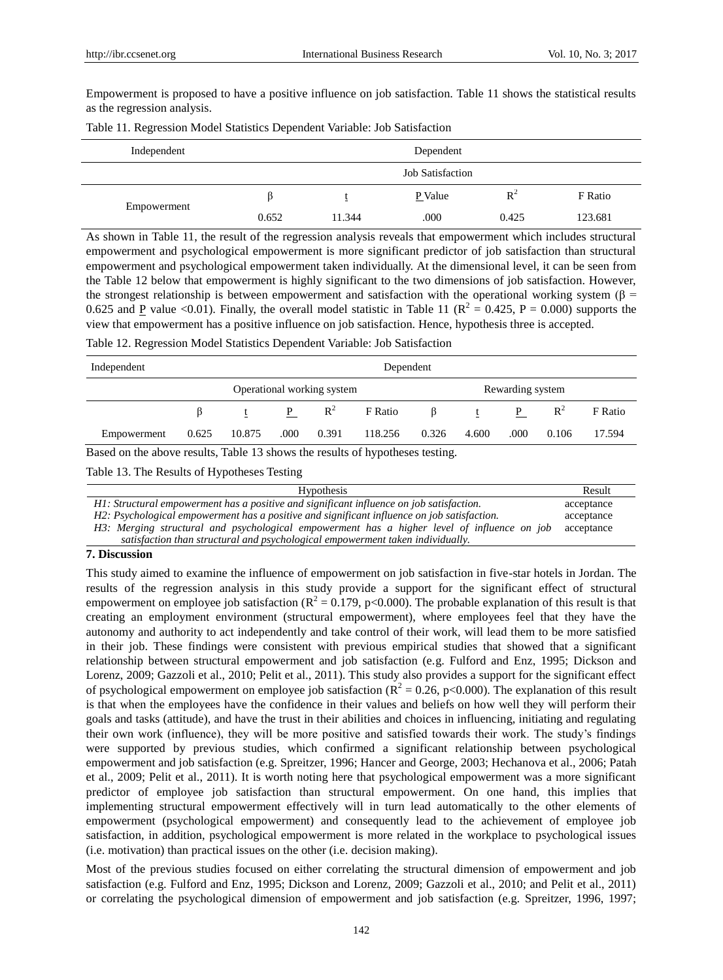Empowerment is proposed to have a positive influence on job satisfaction. Table 11 shows the statistical results as the regression analysis.

| Independent | Dependent |        |                         |       |         |
|-------------|-----------|--------|-------------------------|-------|---------|
|             |           |        | <b>Job Satisfaction</b> |       |         |
|             |           |        | P Value                 | $R^2$ | F Ratio |
| Empowerment | 0.652     | 11.344 | .000                    | 0.425 | 123.681 |

Table 11. Regression Model Statistics Dependent Variable: Job Satisfaction

As shown in Table 11, the result of the regression analysis reveals that empowerment which includes structural empowerment and psychological empowerment is more significant predictor of job satisfaction than structural empowerment and psychological empowerment taken individually. At the dimensional level, it can be seen from the Table 12 below that empowerment is highly significant to the two dimensions of job satisfaction. However, the strongest relationship is between empowerment and satisfaction with the operational working system ( $\beta$  = 0.625 and P value <0.01). Finally, the overall model statistic in Table 11 ( $\mathbb{R}^2 = 0.425$ , P = 0.000) supports the view that empowerment has a positive influence on job satisfaction. Hence, hypothesis three is accepted.

|  |  |  |  |  |  |  | Table 12. Regression Model Statistics Dependent Variable: Job Satisfaction |
|--|--|--|--|--|--|--|----------------------------------------------------------------------------|
|--|--|--|--|--|--|--|----------------------------------------------------------------------------|

| Independent | Dependent                                      |        |      |       |         |       |       |      |       |         |
|-------------|------------------------------------------------|--------|------|-------|---------|-------|-------|------|-------|---------|
|             | Operational working system<br>Rewarding system |        |      |       |         |       |       |      |       |         |
|             |                                                |        | P    | $R^2$ | F Ratio | ß     |       | P.   | $R^2$ | F Ratio |
| Empowerment | 0.625                                          | 10.875 | .000 | 0.391 | 118.256 | 0.326 | 4.600 | .000 | 0.106 | 17.594  |

Based on the above results, Table 13 shows the results of hypotheses testing.

## Table 13. The Results of Hypotheses Testing

| <b>Hypothesis</b>                                                                           | Result     |
|---------------------------------------------------------------------------------------------|------------|
| H1: Structural empowerment has a positive and significant influence on job satisfaction.    | acceptance |
| H2: Psychological empowerment has a positive and significant influence on job satisfaction. | acceptance |
| H3: Merging structural and psychological empowerment has a higher level of influence on job | acceptance |
| satisfaction than structural and psychological empowerment taken individually.              |            |

# **7. Discussion**

This study aimed to examine the influence of empowerment on job satisfaction in five-star hotels in Jordan. The results of the regression analysis in this study provide a support for the significant effect of structural empowerment on employee job satisfaction ( $R^2 = 0.179$ , p<0.000). The probable explanation of this result is that creating an employment environment (structural empowerment), where employees feel that they have the autonomy and authority to act independently and take control of their work, will lead them to be more satisfied in their job. These findings were consistent with previous empirical studies that showed that a significant relationship between structural empowerment and job satisfaction (e.g. Fulford and Enz, 1995; Dickson and Lorenz, 2009; Gazzoli et al., 2010; Pelit et al., 2011). This study also provides a support for the significant effect of psychological empowerment on employee job satisfaction ( $\mathbb{R}^2 = 0.26$ , p<0.000). The explanation of this result is that when the employees have the confidence in their values and beliefs on how well they will perform their goals and tasks (attitude), and have the trust in their abilities and choices in influencing, initiating and regulating their own work (influence), they will be more positive and satisfied towards their work. The study"s findings were supported by previous studies, which confirmed a significant relationship between psychological empowerment and job satisfaction (e.g. Spreitzer, 1996; Hancer and George, 2003; Hechanova et al., 2006; Patah et al., 2009; Pelit et al., 2011). It is worth noting here that psychological empowerment was a more significant predictor of employee job satisfaction than structural empowerment. On one hand, this implies that implementing structural empowerment effectively will in turn lead automatically to the other elements of empowerment (psychological empowerment) and consequently lead to the achievement of employee job satisfaction, in addition, psychological empowerment is more related in the workplace to psychological issues (i.e. motivation) than practical issues on the other (i.e. decision making).

Most of the previous studies focused on either correlating the structural dimension of empowerment and job satisfaction (e.g. Fulford and Enz, 1995; Dickson and Lorenz, 2009; Gazzoli et al., 2010; and Pelit et al., 2011) or correlating the psychological dimension of empowerment and job satisfaction (e.g. Spreitzer, 1996, 1997;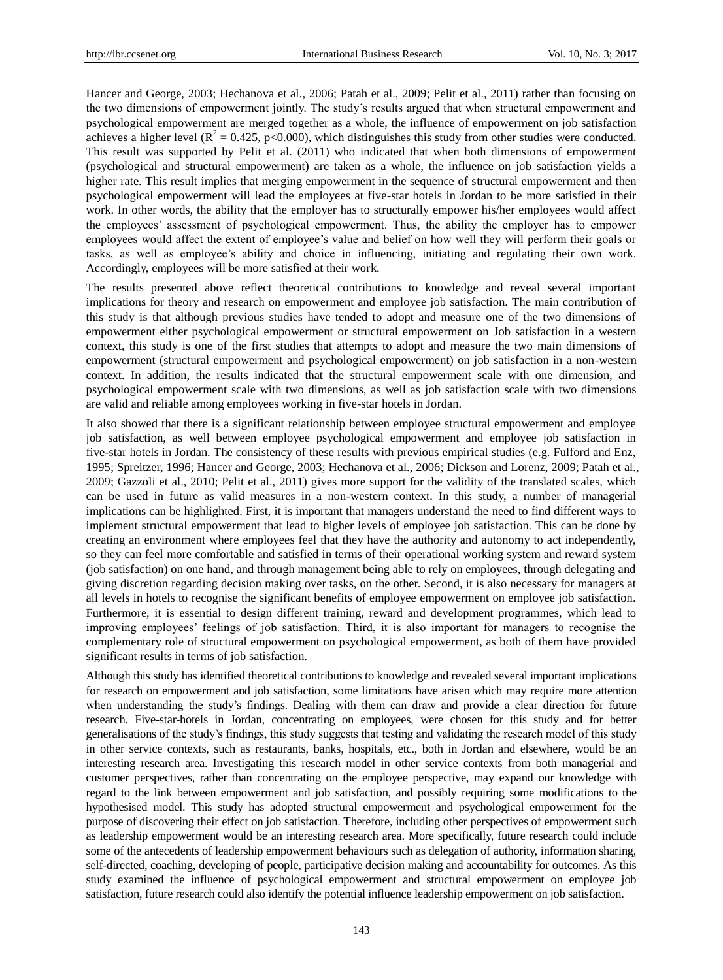Hancer and George, 2003; Hechanova et al., 2006; Patah et al., 2009; Pelit et al., 2011) rather than focusing on the two dimensions of empowerment jointly. The study"s results argued that when structural empowerment and psychological empowerment are merged together as a whole, the influence of empowerment on job satisfaction achieves a higher level ( $R^2 = 0.425$ , p<0.000), which distinguishes this study from other studies were conducted. This result was supported by Pelit et al. (2011) who indicated that when both dimensions of empowerment (psychological and structural empowerment) are taken as a whole, the influence on job satisfaction yields a higher rate. This result implies that merging empowerment in the sequence of structural empowerment and then psychological empowerment will lead the employees at five-star hotels in Jordan to be more satisfied in their work. In other words, the ability that the employer has to structurally empower his/her employees would affect the employees" assessment of psychological empowerment. Thus, the ability the employer has to empower employees would affect the extent of employee"s value and belief on how well they will perform their goals or tasks, as well as employee"s ability and choice in influencing, initiating and regulating their own work. Accordingly, employees will be more satisfied at their work.

The results presented above reflect theoretical contributions to knowledge and reveal several important implications for theory and research on empowerment and employee job satisfaction. The main contribution of this study is that although previous studies have tended to adopt and measure one of the two dimensions of empowerment either psychological empowerment or structural empowerment on Job satisfaction in a western context, this study is one of the first studies that attempts to adopt and measure the two main dimensions of empowerment (structural empowerment and psychological empowerment) on job satisfaction in a non-western context. In addition, the results indicated that the structural empowerment scale with one dimension, and psychological empowerment scale with two dimensions, as well as job satisfaction scale with two dimensions are valid and reliable among employees working in five-star hotels in Jordan.

It also showed that there is a significant relationship between employee structural empowerment and employee job satisfaction, as well between employee psychological empowerment and employee job satisfaction in five-star hotels in Jordan. The consistency of these results with previous empirical studies (e.g. Fulford and Enz, 1995; Spreitzer, 1996; Hancer and George, 2003; Hechanova et al., 2006; Dickson and Lorenz, 2009; Patah et al., 2009; Gazzoli et al., 2010; Pelit et al., 2011) gives more support for the validity of the translated scales, which can be used in future as valid measures in a non-western context. In this study, a number of managerial implications can be highlighted. First, it is important that managers understand the need to find different ways to implement structural empowerment that lead to higher levels of employee job satisfaction. This can be done by creating an environment where employees feel that they have the authority and autonomy to act independently, so they can feel more comfortable and satisfied in terms of their operational working system and reward system (job satisfaction) on one hand, and through management being able to rely on employees, through delegating and giving discretion regarding decision making over tasks, on the other. Second, it is also necessary for managers at all levels in hotels to recognise the significant benefits of employee empowerment on employee job satisfaction. Furthermore, it is essential to design different training, reward and development programmes, which lead to improving employees" feelings of job satisfaction. Third, it is also important for managers to recognise the complementary role of structural empowerment on psychological empowerment, as both of them have provided significant results in terms of job satisfaction.

Although this study has identified theoretical contributions to knowledge and revealed several important implications for research on empowerment and job satisfaction, some limitations have arisen which may require more attention when understanding the study's findings. Dealing with them can draw and provide a clear direction for future research. Five-star-hotels in Jordan, concentrating on employees, were chosen for this study and for better generalisations of the study"s findings, this study suggests that testing and validating the research model of this study in other service contexts, such as restaurants, banks, hospitals, etc., both in Jordan and elsewhere, would be an interesting research area. Investigating this research model in other service contexts from both managerial and customer perspectives, rather than concentrating on the employee perspective, may expand our knowledge with regard to the link between empowerment and job satisfaction, and possibly requiring some modifications to the hypothesised model. This study has adopted structural empowerment and psychological empowerment for the purpose of discovering their effect on job satisfaction. Therefore, including other perspectives of empowerment such as leadership empowerment would be an interesting research area. More specifically, future research could include some of the antecedents of leadership empowerment behaviours such as delegation of authority, information sharing, self-directed, coaching, developing of people, participative decision making and accountability for outcomes. As this study examined the influence of psychological empowerment and structural empowerment on employee job satisfaction, future research could also identify the potential influence leadership empowerment on job satisfaction.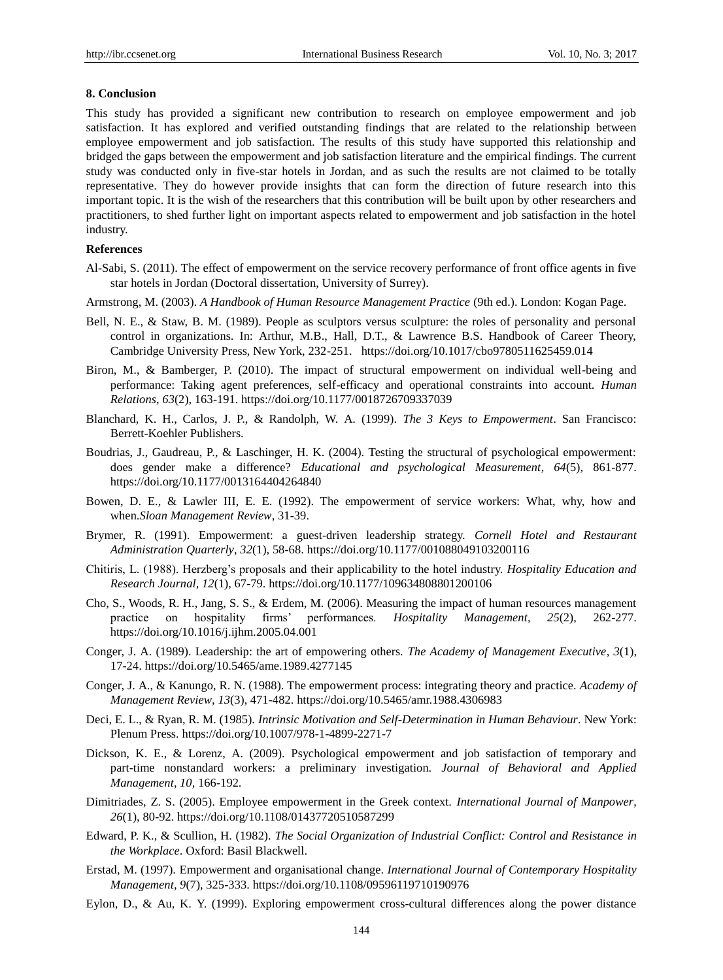#### **8. Conclusion**

This study has provided a significant new contribution to research on employee empowerment and job satisfaction. It has explored and verified outstanding findings that are related to the relationship between employee empowerment and job satisfaction. The results of this study have supported this relationship and bridged the gaps between the empowerment and job satisfaction literature and the empirical findings. The current study was conducted only in five-star hotels in Jordan, and as such the results are not claimed to be totally representative. They do however provide insights that can form the direction of future research into this important topic. It is the wish of the researchers that this contribution will be built upon by other researchers and practitioners, to shed further light on important aspects related to empowerment and job satisfaction in the hotel industry.

#### **References**

- Al-Sabi, S. (2011). The effect of empowerment on the service recovery performance of front office agents in five star hotels in Jordan (Doctoral dissertation, University of Surrey).
- Armstrong, M. (2003). *A Handbook of Human Resource Management Practice* (9th ed.). London: Kogan Page.
- Bell, N. E., & Staw, B. M. (1989). People as sculptors versus sculpture: the roles of personality and personal control in organizations. In: Arthur, M.B., Hall, D.T., & Lawrence B.S. Handbook of Career Theory, Cambridge University Press, New York, 232-251. <https://doi.org/10.1017/cbo9780511625459.014>
- Biron, M., & Bamberger, P. (2010). The impact of structural empowerment on individual well-being and performance: Taking agent preferences, self-efficacy and operational constraints into account. *Human Relations, 63*(2), 163-191[. https://doi.org/10.1177/0018726709337039](https://doi.org/10.1177/0018726709337039)
- Blanchard, K. H., Carlos, J. P., & Randolph, W. A. (1999). *The 3 Keys to Empowerment*. San Francisco: Berrett-Koehler Publishers.
- Boudrias, J., Gaudreau, P., & Laschinger, H. K. (2004). Testing the structural of psychological empowerment: does gender make a difference? *Educational and psychological Measurement, 64*(5), 861-877. <https://doi.org/10.1177/0013164404264840>
- Bowen, D. E., & Lawler III, E. E. (1992). The empowerment of service workers: What, why, how and when.*Sloan Management Review*, 31-39.
- Brymer, R. (1991). Empowerment: a guest-driven leadership strategy. *Cornell Hotel and Restaurant Administration Quarterly, 32*(1), 58-68. <https://doi.org/10.1177/001088049103200116>
- Chitiris, L. (1988). Herzberg"s proposals and their applicability to the hotel industry. *Hospitality Education and Research Journal, 12*(1), 67-79.<https://doi.org/10.1177/109634808801200106>
- Cho, S., Woods, R. H., Jang, S. S., & Erdem, M. (2006). Measuring the impact of human resources management practice on hospitality firms" performances. *Hospitality Management, 25*(2), 262-277. <https://doi.org/10.1016/j.ijhm.2005.04.001>
- Conger, J. A. (1989). Leadership: the art of empowering others. *The Academy of Management Executive, 3*(1), 17-24.<https://doi.org/10.5465/ame.1989.4277145>
- Conger, J. A., & Kanungo, R. N. (1988). The empowerment process: integrating theory and practice. *Academy of Management Review, 13*(3), 471-482[. https://doi.org/10.5465/amr.1988.4306983](https://doi.org/10.5465/amr.1988.4306983)
- Deci, E. L., & Ryan, R. M. (1985). *Intrinsic Motivation and Self-Determination in Human Behaviour*. New York: Plenum Press.<https://doi.org/10.1007/978-1-4899-2271-7>
- Dickson, K. E., & Lorenz, A. (2009). Psychological empowerment and job satisfaction of temporary and part-time nonstandard workers: a preliminary investigation. *Journal of Behavioral and Applied Management, 10,* 166-192.
- Dimitriades, Z. S. (2005). Employee empowerment in the Greek context. *International Journal of Manpower*, *26*(1), 80-92.<https://doi.org/10.1108/01437720510587299>
- Edward, P. K., & Scullion, H. (1982). *The Social Organization of Industrial Conflict: Control and Resistance in the Workplace*. Oxford: Basil Blackwell.
- Erstad, M. (1997). Empowerment and organisational change. *International Journal of Contemporary Hospitality Management, 9*(7), 325-333.<https://doi.org/10.1108/09596119710190976>
- Eylon, D., & Au, K. Y. (1999). Exploring empowerment cross-cultural differences along the power distance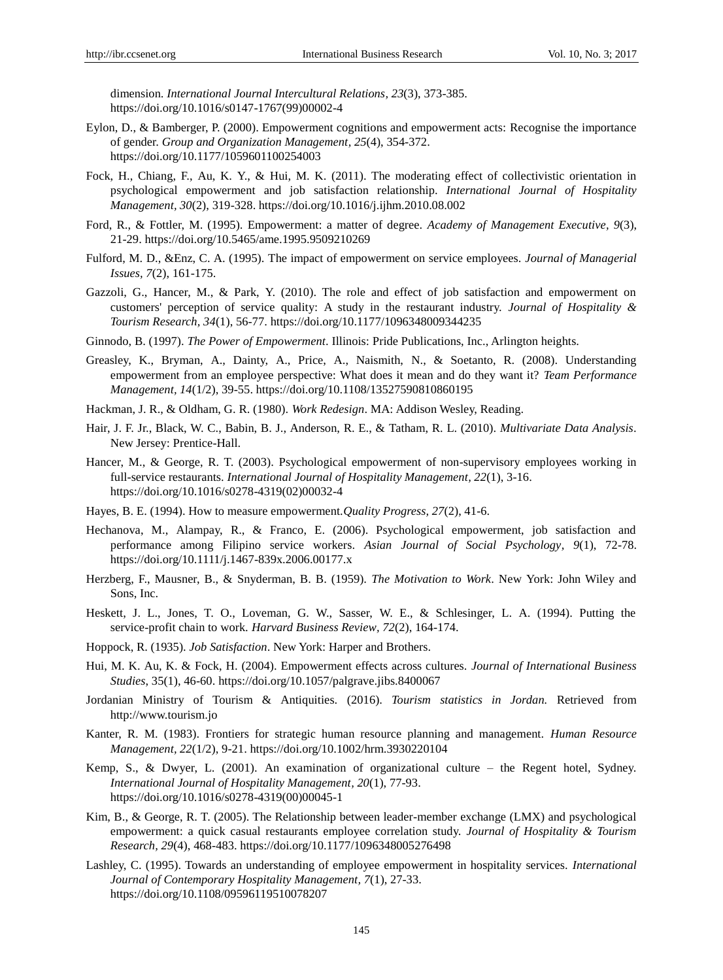dimension. *International Journal Intercultural Relations, 23*(3), 373-385. [https://doi.org/10.1016/s0147-1767\(99\)00002-4](https://doi.org/10.1016/s0147-1767(99)00002-4)

- Eylon, D., & Bamberger, P. (2000). Empowerment cognitions and empowerment acts: Recognise the importance of gender. *Group and Organization Management, 25*(4), 354-372. <https://doi.org/10.1177/1059601100254003>
- Fock, H., Chiang, F., Au, K. Y., & Hui, M. K. (2011). The moderating effect of collectivistic orientation in psychological empowerment and job satisfaction relationship. *International Journal of Hospitality Management, 30*(2), 319-328.<https://doi.org/10.1016/j.ijhm.2010.08.002>
- Ford, R., & Fottler, M. (1995). Empowerment: a matter of degree. *Academy of Management Executive, 9*(3), 21-29.<https://doi.org/10.5465/ame.1995.9509210269>
- Fulford, M. D., &Enz, C. A. (1995). The impact of empowerment on service employees. *Journal of Managerial Issues, 7*(2), 161-175.
- Gazzoli, G., Hancer, M., & Park, Y. (2010). The role and effect of job satisfaction and empowerment on customers' perception of service quality: A study in the restaurant industry. *Journal of Hospitality & Tourism Research, 34*(1), 56-77[. https://doi.org/10.1177/1096348009344235](https://doi.org/10.1177/1096348009344235)
- Ginnodo, B. (1997). *The Power of Empowerment*. Illinois: Pride Publications, Inc., Arlington heights.
- Greasley, K., Bryman, A., Dainty, A., Price, A., Naismith, N., & Soetanto, R. (2008). Understanding empowerment from an employee perspective: What does it mean and do they want it? *Team Performance Management, 14*(1/2), 39-55. https://doi.org/10.1108/13527590810860195
- Hackman, J. R., & Oldham, G. R. (1980). *Work Redesign*. MA: Addison Wesley, Reading.
- Hair, J. F. Jr., Black, W. C., Babin, B. J., Anderson, R. E., & Tatham, R. L. (2010). *Multivariate Data Analysis*. New Jersey: Prentice-Hall.
- Hancer, M., & George, R. T. (2003). Psychological empowerment of non-supervisory employees working in full-service restaurants. *International Journal of Hospitality Management, 22*(1), 3-16. https://doi.org/10.1016/s0278-4319(02)00032-4
- Hayes, B. E. (1994). How to measure empowerment.*Quality Progress, 27*(2), 41-6.
- Hechanova, M., Alampay, R., & Franco, E. (2006). Psychological empowerment, job satisfaction and performance among Filipino service workers. *Asian Journal of Social Psychology, 9*(1), 72-78. <https://doi.org/10.1111/j.1467-839x.2006.00177.x>
- Herzberg, F., Mausner, B., & Snyderman, B. B. (1959). *The Motivation to Work*. New York: John Wiley and Sons, Inc.
- Heskett, J. L., Jones, T. O., Loveman, G. W., Sasser, W. E., & Schlesinger, L. A. (1994). Putting the service-profit chain to work. *Harvard Business Review, 72*(2), 164-174.
- Hoppock, R. (1935). *Job Satisfaction*. New York: Harper and Brothers.
- Hui, M. K. Au, K. & Fock, H. (2004). Empowerment effects across cultures. *Journal of International Business Studies*, 35(1), 46-60.<https://doi.org/10.1057/palgrave.jibs.8400067>
- Jordanian Ministry of Tourism & Antiquities. (2016). *Tourism statistics in Jordan.* Retrieved from http://www.tourism.jo
- Kanter, R. M. (1983). Frontiers for strategic human resource planning and management. *Human Resource Management, 22*(1/2), 9-21. <https://doi.org/10.1002/hrm.3930220104>
- Kemp, S., & Dwyer, L. (2001). An examination of organizational culture the Regent hotel, Sydney. *International Journal of Hospitality Management, 20*(1), 77-93. https://doi.org/10.1016/s0278-4319(00)00045-1
- Kim, B., & George, R. T. (2005). The Relationship between leader-member exchange (LMX) and psychological empowerment: a quick casual restaurants employee correlation study. *Journal of Hospitality & Tourism Research, 29*(4), 468-483[. https://doi.org/10.1177/1096348005276498](https://doi.org/10.1177/1096348005276498)
- Lashley, C. (1995). Towards an understanding of employee empowerment in hospitality services. *International Journal of Contemporary Hospitality Management, 7*(1), 27-33. <https://doi.org/10.1108/09596119510078207>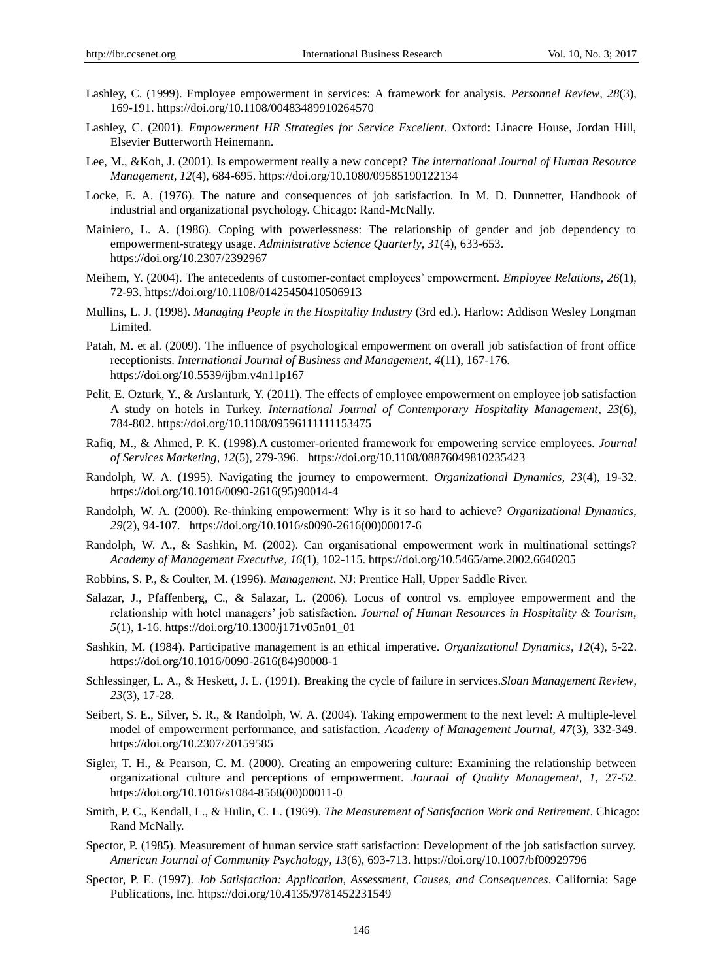- Lashley, C. (1999). Employee empowerment in services: A framework for analysis. *Personnel Review, 28*(3), 169-191.<https://doi.org/10.1108/00483489910264570>
- Lashley, C. (2001). *Empowerment HR Strategies for Service Excellent*. Oxford: Linacre House, Jordan Hill, Elsevier Butterworth Heinemann.
- Lee, M., &Koh, J. (2001). Is empowerment really a new concept? *The international Journal of Human Resource Management, 12*(4), 684-695.<https://doi.org/10.1080/09585190122134>
- Locke, E. A. (1976). The nature and consequences of job satisfaction. In M. D. Dunnetter, Handbook of industrial and organizational psychology. Chicago: Rand-McNally.
- Mainiero, L. A. (1986). Coping with powerlessness: The relationship of gender and job dependency to empowerment-strategy usage. *Administrative Science Quarterly, 31*(4), 633-653. <https://doi.org/10.2307/2392967>
- Meihem, Y. (2004). The antecedents of customer-contact employees" empowerment. *Employee Relations, 26*(1), 72-93.<https://doi.org/10.1108/01425450410506913>
- Mullins, L. J. (1998). *Managing People in the Hospitality Industry* (3rd ed.). Harlow: Addison Wesley Longman Limited.
- Patah, M. et al. (2009). The influence of psychological empowerment on overall job satisfaction of front office receptionists. *International Journal of Business and Management, 4*(11), 167-176. <https://doi.org/10.5539/ijbm.v4n11p167>
- Pelit, E. Ozturk, Y., & Arslanturk, Y. (2011). The effects of employee empowerment on employee job satisfaction A study on hotels in Turkey. *International Journal of Contemporary Hospitality Management, 23*(6), 784-802.<https://doi.org/10.1108/09596111111153475>
- Rafiq, M., & Ahmed, P. K. (1998).A customer-oriented framework for empowering service employees. *Journal of Services Marketing, 12*(5), 279-396. <https://doi.org/10.1108/08876049810235423>
- Randolph, W. A. (1995). Navigating the journey to empowerment. *Organizational Dynamics, 23*(4), 19-32. [https://doi.org/10.1016/0090-2616\(95\)90014-4](https://doi.org/10.1016/0090-2616(95)90014-4)
- Randolph, W. A. (2000). Re-thinking empowerment: Why is it so hard to achieve? *Organizational Dynamics*, *29*(2), 94-107. [https://doi.org/10.1016/s0090-2616\(00\)00017-6](https://doi.org/10.1016/s0090-2616(00)00017-6)
- Randolph, W. A., & Sashkin, M. (2002). Can organisational empowerment work in multinational settings? *Academy of Management Executive, 16*(1), 102-115. <https://doi.org/10.5465/ame.2002.6640205>
- Robbins, S. P., & Coulter, M. (1996). *Management*. NJ: Prentice Hall, Upper Saddle River.
- Salazar, J., Pfaffenberg, C., & Salazar, L. (2006). Locus of control vs. employee empowerment and the relationship with hotel managers" job satisfaction. *Journal of Human Resources in Hospitality & Tourism*, *5*(1), 1-16. [https://doi.org/10.1300/j171v05n01\\_01](https://doi.org/10.1300/j171v05n01_01)
- Sashkin, M. (1984). Participative management is an ethical imperative. *Organizational Dynamics, 12*(4), 5-22. [https://doi.org/10.1016/0090-2616\(84\)90008-1](https://doi.org/10.1016/0090-2616(84)90008-1)
- Schlessinger, L. A., & Heskett, J. L. (1991). Breaking the cycle of failure in services.*Sloan Management Review*, *23*(3), 17-28.
- Seibert, S. E., Silver, S. R., & Randolph, W. A. (2004). Taking empowerment to the next level: A multiple-level model of empowerment performance, and satisfaction. *Academy of Management Journal, 47*(3), 332-349. <https://doi.org/10.2307/20159585>
- Sigler, T. H., & Pearson, C. M. (2000). Creating an empowering culture: Examining the relationship between organizational culture and perceptions of empowerment. *Journal of Quality Management, 1,* 27-52. [https://doi.org/10.1016/s1084-8568\(00\)00011-0](https://doi.org/10.1016/s1084-8568(00)00011-0)
- Smith, P. C., Kendall, L., & Hulin, C. L. (1969). *The Measurement of Satisfaction Work and Retirement*. Chicago: Rand McNally.
- Spector, P. (1985). Measurement of human service staff satisfaction: Development of the job satisfaction survey. *American Journal of Community Psychology, 13*(6), 693-713. https://doi.org/10.1007/bf00929796
- Spector, P. E. (1997). *Job Satisfaction: Application, Assessment, Causes, and Consequences*. California: Sage Publications, Inc.<https://doi.org/10.4135/9781452231549>